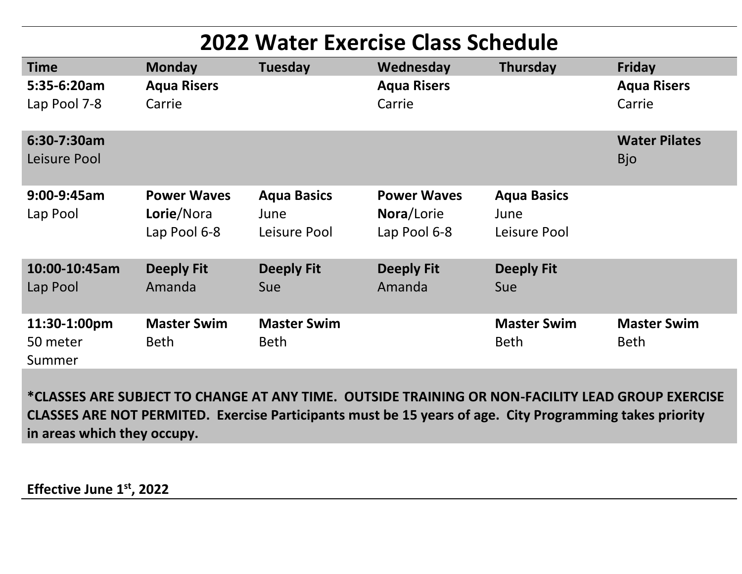| <b>2022 Water Exercise Class Schedule</b> |                                                  |                                            |                                                  |                                            |                                    |
|-------------------------------------------|--------------------------------------------------|--------------------------------------------|--------------------------------------------------|--------------------------------------------|------------------------------------|
| <b>Time</b>                               | <b>Monday</b>                                    | <b>Tuesday</b>                             | Wednesday                                        | Thursday                                   | Friday                             |
| $5:35-6:20am$<br>Lap Pool 7-8             | <b>Aqua Risers</b><br>Carrie                     |                                            | <b>Aqua Risers</b><br>Carrie                     |                                            | <b>Aqua Risers</b><br>Carrie       |
| 6:30-7:30am<br>Leisure Pool               |                                                  |                                            |                                                  |                                            | <b>Water Pilates</b><br><b>Bjo</b> |
| $9:00-9:45am$<br>Lap Pool                 | <b>Power Waves</b><br>Lorie/Nora<br>Lap Pool 6-8 | <b>Aqua Basics</b><br>June<br>Leisure Pool | <b>Power Waves</b><br>Nora/Lorie<br>Lap Pool 6-8 | <b>Aqua Basics</b><br>June<br>Leisure Pool |                                    |
| 10:00-10:45am<br>Lap Pool                 | <b>Deeply Fit</b><br>Amanda                      | <b>Deeply Fit</b><br>Sue                   | <b>Deeply Fit</b><br>Amanda                      | <b>Deeply Fit</b><br><b>Sue</b>            |                                    |
| 11:30-1:00pm<br>50 meter<br>Summer        | <b>Master Swim</b><br><b>Beth</b>                | <b>Master Swim</b><br><b>Beth</b>          |                                                  | <b>Master Swim</b><br><b>Beth</b>          | <b>Master Swim</b><br><b>Beth</b>  |

**\*CLASSES ARE SUBJECT TO CHANGE AT ANY TIME. OUTSIDE TRAINING OR NON-FACILITY LEAD GROUP EXERCISE CLASSES ARE NOT PERMITED. Exercise Participants must be 15 years of age. City Programming takes priority in areas which they occupy.** 

**Effective June 1st, 2022**